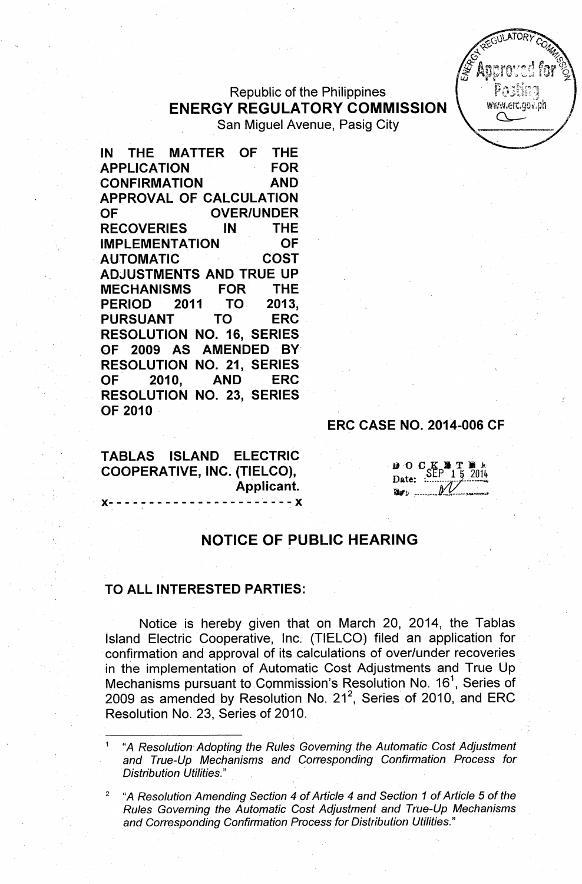## Republic of the Philippines ENERGY REGULATORY COMMISSION San Miguel Avenue, Pasig City

IN THE MATTER OF THE APPLICATION FOR CONFIRMATION AND APPROVAL OF CALCULATION OF OVER/UNDER RECOVERIES IN THE IMPLEMENTATION OF AUTOMATIC COST ADJUSTMENTS AND TRUE UP MECHANISMS FOR THE PERIOD 2011 TO 2013, PURSUANT TO ERC RESOLUTION NO. 16, SERIES OF 2009 AS AMENDED BY RESOLUTION NO. 21, SERIES OF 2010, AND ERC RESOLUTION NO. 23, SERIES OF 2010

TABLAS ISLAND ELECTRIC COOPERATIVE, INC. (TIELCO), Applicant.

- x- - - - - - - - - - - - - - - - - - - - -- - x

# ERC CASE NO. 2014-006 CF

 $\boldsymbol{\beta}$  O C K Date: SEP 1 5 2014 Ibr~.; : ~~ *JJ(.\_~..-~~~*

# NOTICE OF PUBLIC HEARING

#### TO ALL INTERESTED PARTIES:

Notice is hereby given that on March 20, 2014, the Tablas Island Electric Cooperative, Inc. (TIELCO) filed an application for confirmation and approval of its calculations of over/under recoveries in the implementation of Automatic Cost Adjustments and True Up Mechanisms pursuant to Commission's Resolution No. 16<sup>1</sup>, Series of 2009 as amended by Resolution No. 21<sup>2</sup>, Series of 2010, and ERC Resolution No. 23, Series of 2010.

<sup>1</sup> *"A Resolution Adopting the Rules Governing the Automatic Cost Adjustment and True-Up Mechanisms and Corresponding - Confirmation Process for Distribution Utilities.*"

*<sup>2</sup> "A Resolution Amending Section* 4 *of Article* 4 *and Section* 1 *of Article* 5 *of the Rules Governing the Autornatic Cost Adjustment and True-Up Mechanisms and Corresponding Confirmation Process for Distribution Utilities.* II

**FOULATORY** www.erc.gov.ph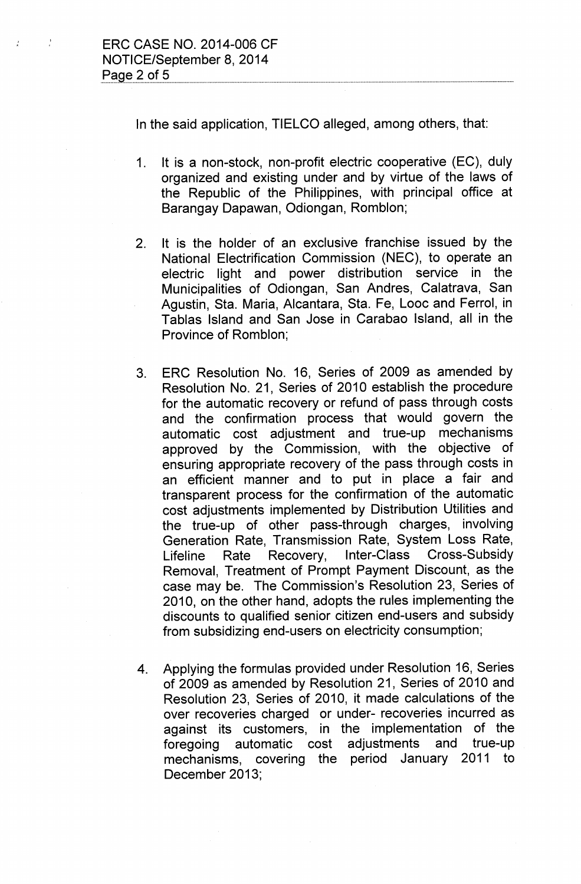$\frac{1}{2}$ 

 $\frac{1}{\epsilon}$ 

In the said application, TIELCO alleged, among others, that:

- 1. It is a non-stock, non-profit electric cooperative (EC), duly organized and existing under and by virtue of the laws of the Republic of the Philippines, with principal office at Barangay Dapawan, Odiongan, Romblon;
- 2. It is the holder of an exclusive franchise issued by the National Electrification Commission (NEC), to operate an electric light and power distribution service in the Municipalities of Odiongan, San Andres, Calatrava, San Agustin, Sta. Maria, Alcantara, Sta. Fe, Looc and Ferrol, in Tablas Island and San Jose in Carabao Island, all in the Province of Romblon;
- 3. ERC Resolution No. 16, Series of 2009 as amended by Resolution No. 21, Series of 2010 establish the procedure for the automatic recovery or refund of pass through costs and the confirmation process that would govern the automatic cost adjustment and true-up mechanisms approved by the Commission, with the objective of ensuring appropriate recovery of the pass through costs in an efficient manner and to put in place a fair and transparent process for the confirmation of the automatic cost adjustments implemented by Distribution Utilities and the true-up of other pass-through charges, involving Generation Rate, Transmission Rate, System Loss Rate, Lifeline Rate Recovery, Inter-Class Cross-Subsidy Removal, Treatment of Prompt Payment Discount, as the case may be. The Commission's Resolution 23, Series of 2010, on the other hand, adopts the rules implementing the discounts to qualified senior citizen end-users and subsidy from subsidizing end-users on electricity consumption;
- 4. Applying the formulas provided under Resolution 16, Series of 2009 as amended by Resolution 21, Series of 2010 and Resolution 23, Series of 2010, it made calculations of the over recoveries charged or under- recoveries incurred as against its customers, in the implementation of the foregoing automatic cost adjustments and true-up mechanisms, covering the period January 2011 to December 2013;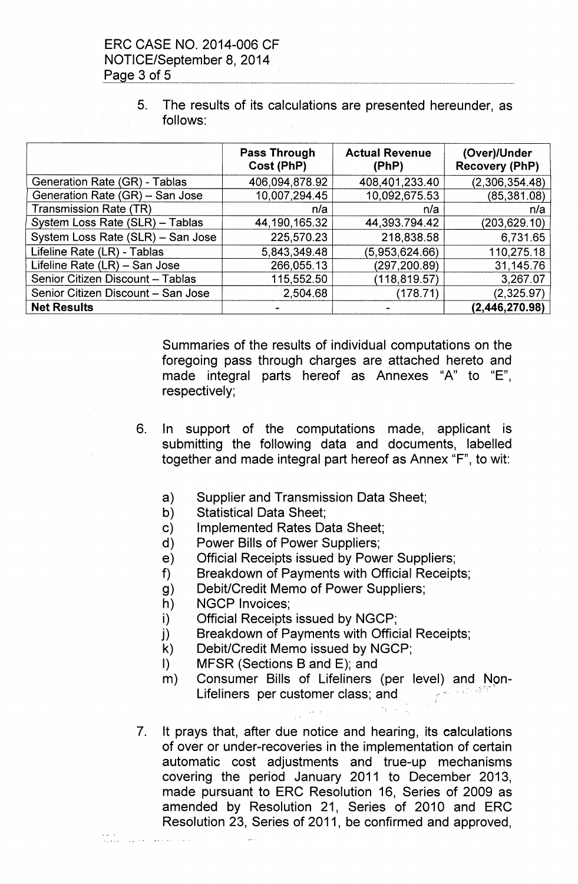# ERC CASE NO. 2014-006 CF NOTICE/September 8,2014 <u>Page 3 of 5</u>

5. The results of its calculations are presented hereunder, as follows:

|                                    | <b>Pass Through</b><br>Cost (PhP) | <b>Actual Revenue</b><br>(PhP) | (Over)/Under<br><b>Recovery (PhP)</b> |
|------------------------------------|-----------------------------------|--------------------------------|---------------------------------------|
| Generation Rate (GR) - Tablas      | 406,094,878.92                    | 408,401,233.40                 | (2,306,354.48)                        |
| Generation Rate (GR) - San Jose    | 10,007,294.45                     | 10,092,675.53                  | (85, 381.08)                          |
| Transmission Rate (TR)             | n/a                               | n/a                            | n/a                                   |
| System Loss Rate (SLR) - Tablas    | 44, 190, 165. 32                  | 44,393.794.42                  | (203, 629.10)                         |
| System Loss Rate (SLR) - San Jose  | 225,570.23                        | 218,838.58                     | 6,731.65                              |
| Lifeline Rate (LR) - Tablas        | 5,843,349.48                      | (5,953,624.66)                 | 110,275.18                            |
| Lifeline Rate (LR) - San Jose      | 266,055.13                        | (297, 200.89)                  | 31,145.76                             |
| Senior Citizen Discount - Tablas   | 115,552.50                        | (118, 819.57)                  | 3,267.07                              |
| Senior Citizen Discount - San Jose | 2,504.68                          | (178.71)                       | (2,325.97)                            |
| <b>Net Results</b>                 |                                   |                                | (2,446,270.98)                        |

Summaries of the results of individual computations on the foregoing pass through charges are attached hereto and made integral parts hereof as Annexes "A" to "E", respectively;

- 6. In support of the computations made, applicant is submitting the following data and documents, labelled together and made integral part hereof as Annex "F", to wit:
	- a) Supplier and Transmission Data Sheet;
	- b) Statistical Data Sheet;
	- c) Implemented Rates Data Sheet;
	- d) Power Bills of Power Suppliers;
	- e) Official Receipts issued by Power Suppliers;
	- f) Breakdown of Payments with Official Receipts;
	- g) Debit/Credit Memo of Power Suppliers;
	- h) NGCP Invoices;
	- i) Official Receipts issued by NGCP;
	- j) Breakdown of Payments with Official Receipts;
	- k) Debit/Credit Memo issued by NGCP;
	- I) MFSR (Sections B and E); and
	- m) Consumer Bills of Lifeliners (per level) and Non-*J; :: ..\_~--* Lifeliners per customer class; and
- 7. It prays that, after due notice and hearing, its calculations of over or under-recoveries in the implementation of certain automatic cost adjustments and true-up mechanisms covering the period January 2011 to December 2013, made pursuant to ERC Resolution 16, Series of 2009 as amended by Resolution 21, Series of 2010 and ERC Resolution 23, Series of 2011, be confirmed and approved,

ework<br>Myrkani, Alijan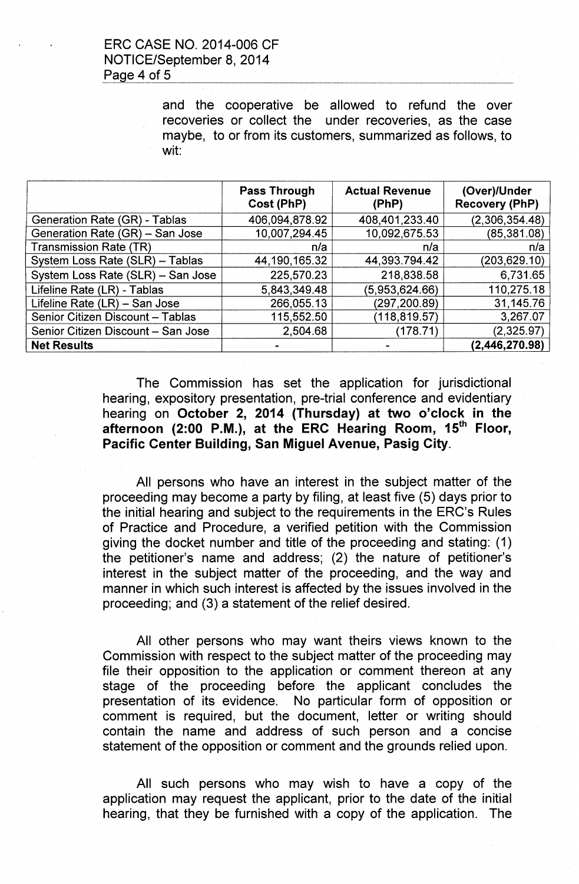### ERC CASE NO. 2014-006 CF NOTICE/September 8,2014 Page 4 of 5

and the cooperative be allowed to refund the over recoveries or collect the under recoveries, as the case maybe, to or from its customers, summarized as follows, to wit:

|                                    | Pass Through<br>Cost (PhP) | <b>Actual Revenue</b><br>(PhP) | (Over)/Under<br><b>Recovery (PhP)</b> |
|------------------------------------|----------------------------|--------------------------------|---------------------------------------|
| Generation Rate (GR) - Tablas      | 406,094,878.92             | 408,401,233.40                 | (2,306,354.48)                        |
| Generation Rate (GR) - San Jose    | 10,007,294.45              | 10,092,675.53                  | (85, 381.08)                          |
| <b>Transmission Rate (TR)</b>      | n/a                        | n/a                            | n/a                                   |
| System Loss Rate (SLR) - Tablas    | 44, 190, 165. 32           | 44,393.794.42                  | (203, 629.10)                         |
| System Loss Rate (SLR) - San Jose  | 225,570.23                 | 218,838.58                     | 6,731.65                              |
| Lifeline Rate (LR) - Tablas        | 5,843,349.48               | (5,953,624.66)                 | 110,275.18                            |
| Lifeline Rate (LR) - San Jose      | 266,055.13                 | (297, 200.89)                  | 31,145.76                             |
| Senior Citizen Discount - Tablas   | 115,552.50                 | (118, 819.57)                  | 3,267.07                              |
| Senior Citizen Discount - San Jose | 2,504.68                   | (178.71)                       | (2,325.97)                            |
| <b>Net Results</b>                 |                            |                                | (2,446,270.98)                        |

The Commission has set the application for jurisdictional hearing, expository presentation, pre-trial conference and evidentiary hearing on October 2, 2014 (Thursday) at two o'clock in the afternoon (2:00 P.M.), at the ERC Hearing Room, 15<sup>th</sup> Floor, Pacific Center Building, San Miguel Avenue, Pasig City.

All persons who have an interest in the subject matter of the proceeding may become a party by filing, at least five (5) days prior to the initial hearing and subject to the requirements in the ERC's Rules of Practice and Procedure, a verified petition with the Commission giving the docket number and title of the proceeding and stating: (1) the petitioner's name and address; (2) the nature of petitioner's interest in the subject matter of the proceeding, and the way and manner in which such interest is affected by the issues involved in the proceeding; and (3) a statement of the relief desired.

All other persons who may want theirs views known to the Commission with respect to the subject matter of the proceeding may file their opposition to the application or comment thereon at any stage of the proceeding before the applicant concludes the presentation of its evidence. No particular form of opposition or comment is required, but the document, letter or writing should contain the name and address of such person and a concise statement of the opposition or comment and the grounds relied upon.

All such persons who may wish to have a copy of the application may request the applicant, prior to the date of the initial hearing, that they be furnished with a copy of the application. The